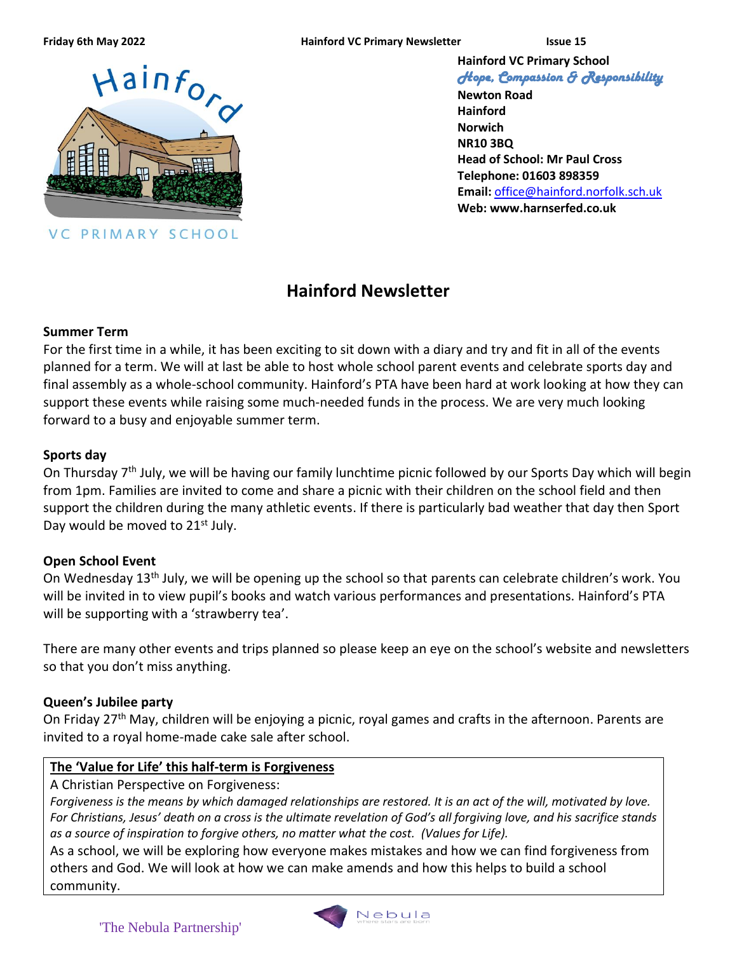**Friday 6th May 2022 Hainford VC Primary Newsletter Issue 15**



VC PRIMARY SCHOOL

**Hainford VC Primary School** *Hope, Compassion & Responsibility* 

**Newton Road Hainford Norwich NR10 3BQ Head of School: Mr Paul Cross Telephone: 01603 898359 Email:** [office@hainford.norfolk.sch.uk](mailto:office@hainfordfirst.norfolk.sch.uk) **Web: www.harnserfed.co.uk**

# **Hainford Newsletter**

#### **Summer Term**

For the first time in a while, it has been exciting to sit down with a diary and try and fit in all of the events planned for a term. We will at last be able to host whole school parent events and celebrate sports day and final assembly as a whole-school community. Hainford's PTA have been hard at work looking at how they can support these events while raising some much-needed funds in the process. We are very much looking forward to a busy and enjoyable summer term.

#### **Sports day**

On Thursday 7<sup>th</sup> July, we will be having our family lunchtime picnic followed by our Sports Day which will begin from 1pm. Families are invited to come and share a picnic with their children on the school field and then support the children during the many athletic events. If there is particularly bad weather that day then Sport Day would be moved to 21<sup>st</sup> July.

### **Open School Event**

On Wednesday 13th July, we will be opening up the school so that parents can celebrate children's work. You will be invited in to view pupil's books and watch various performances and presentations. Hainford's PTA will be supporting with a 'strawberry tea'.

There are many other events and trips planned so please keep an eye on the school's website and newsletters so that you don't miss anything.

### **Queen's Jubilee party**

On Friday 27<sup>th</sup> May, children will be enjoying a picnic, royal games and crafts in the afternoon. Parents are invited to a royal home-made cake sale after school.

### **The 'Value for Life' this half-term is Forgiveness**

A Christian Perspective on Forgiveness:

*Forgiveness is the means by which damaged relationships are restored. It is an act of the will, motivated by love. For Christians, Jesus' death on a cross is the ultimate revelation of God's all forgiving love, and his sacrifice stands as a source of inspiration to forgive others, no matter what the cost. (Values for Life).*

As a school, we will be exploring how everyone makes mistakes and how we can find forgiveness from others and God. We will look at how we can make amends and how this helps to build a school community.

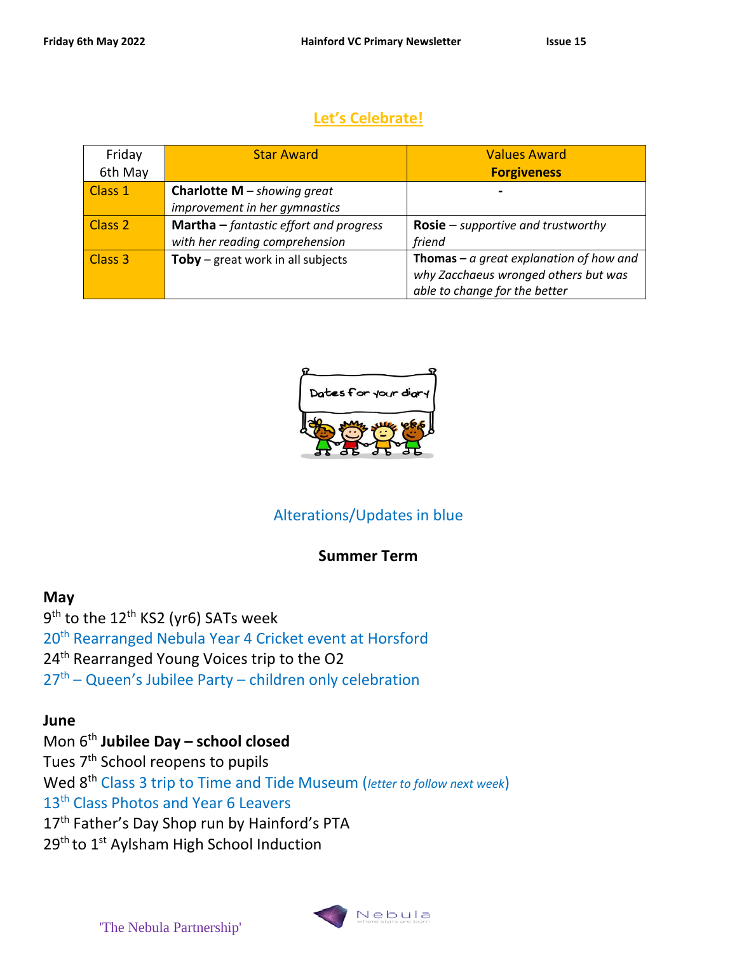## **Let's Celebrate!**

| Friday             | <b>Star Award</b>                               | <b>Values Award</b>                              |
|--------------------|-------------------------------------------------|--------------------------------------------------|
| 6th May            |                                                 | <b>Forgiveness</b>                               |
| Class 1            | <b>Charlotte M</b> – showing great              |                                                  |
|                    | improvement in her gymnastics                   |                                                  |
| Class <sub>2</sub> | <b>Martha</b> $-$ fantastic effort and progress | <b>Rosie</b> – supportive and trustworthy        |
|                    | with her reading comprehension                  | friend                                           |
| Class 3            | <b>Toby</b> – great work in all subjects        | <b>Thomas</b> – $a$ great explanation of how and |
|                    |                                                 | why Zacchaeus wronged others but was             |
|                    |                                                 | able to change for the better                    |



# Alterations/Updates in blue

### **Summer Term**

#### **May**

9<sup>th</sup> to the 12<sup>th</sup> KS2 (yr6) SATs week 20<sup>th</sup> Rearranged Nebula Year 4 Cricket event at Horsford 24<sup>th</sup> Rearranged Young Voices trip to the O2  $27<sup>th</sup>$  – Queen's Jubilee Party – children only celebration

#### **June**

# Mon 6th **Jubilee Day – school closed**

Tues 7<sup>th</sup> School reopens to pupils

Wed 8th Class 3 trip to Time and Tide Museum (*letter to follow next week*)

13<sup>th</sup> Class Photos and Year 6 Leavers

17<sup>th</sup> Father's Day Shop run by Hainford's PTA

29<sup>th</sup> to 1<sup>st</sup> Aylsham High School Induction